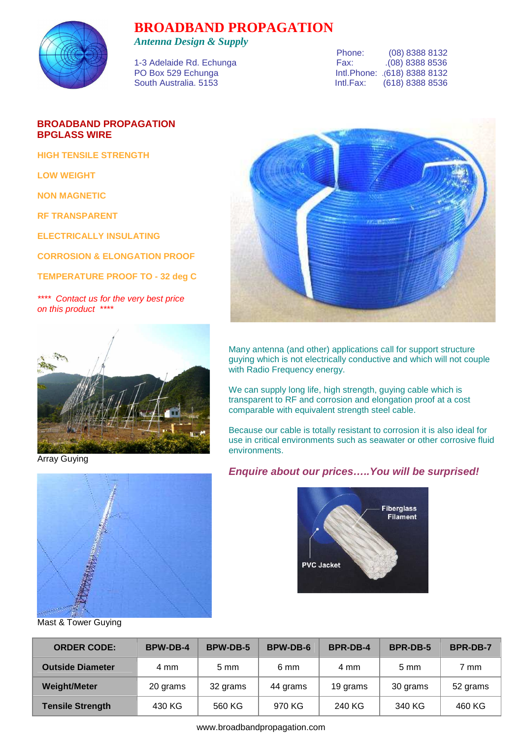

## **BROADBAND PROPAGATION**

*Antenna Design & Supply* 

|                          | Phone: | (08) 8388 8132                |
|--------------------------|--------|-------------------------------|
| 1-3 Adelaide Rd. Echunga | Fax:   | .(08) 8388 8536               |
| PO Box 529 Echunga       |        | Intl. Phone: .(618) 8388 8132 |
| South Australia, 5153    |        | Intl.Fax: (618) 8388 8536     |
|                          |        |                               |

## **BROADBAND PROPAGATION BPGLASS WIRE**

**HIGH TENSILE STRENGTH** 

**LOW WEIGHT** 

**NON MAGNETIC** 

**RF TRANSPARENT** 

**ELECTRICALLY INSULATING** 

**CORROSION & ELONGATION PROOF** 

**TEMPERATURE PROOF TO - 32 deg C** 

\*\*\*\* Contact us for the very best price on this product \*\*\*\*



Array Guying



Mast & Tower Guying



Many antenna (and other) applications call for support structure guying which is not electrically conductive and which will not couple with Radio Frequency energy.

We can supply long life, high strength, guying cable which is transparent to RF and corrosion and elongation proof at a cost comparable with equivalent strength steel cable.

Because our cable is totally resistant to corrosion it is also ideal for use in critical environments such as seawater or other corrosive fluid environments.

## **Enquire about our prices…..You will be surprised!**



| <b>ORDER CODE:</b>      | <b>BPW-DB-4</b> | <b>BPW-DB-5</b> | <b>BPW-DB-6</b> | <b>BPR-DB-4</b> | <b>BPR-DB-5</b> | <b>BPR-DB-7</b> |
|-------------------------|-----------------|-----------------|-----------------|-----------------|-----------------|-----------------|
| <b>Outside Diameter</b> | 4 mm            | $5 \text{ mm}$  | 6 mm            | 4 mm            | $5 \text{ mm}$  | 7 mm            |
| <b>Weight/Meter</b>     | 20 grams        | 32 grams        | 44 grams        | 19 grams        | 30 grams        | 52 grams        |
| <b>Tensile Strength</b> | 430 KG          | 560 KG          | 970 KG          | 240 KG          | 340 KG          | 460 KG          |